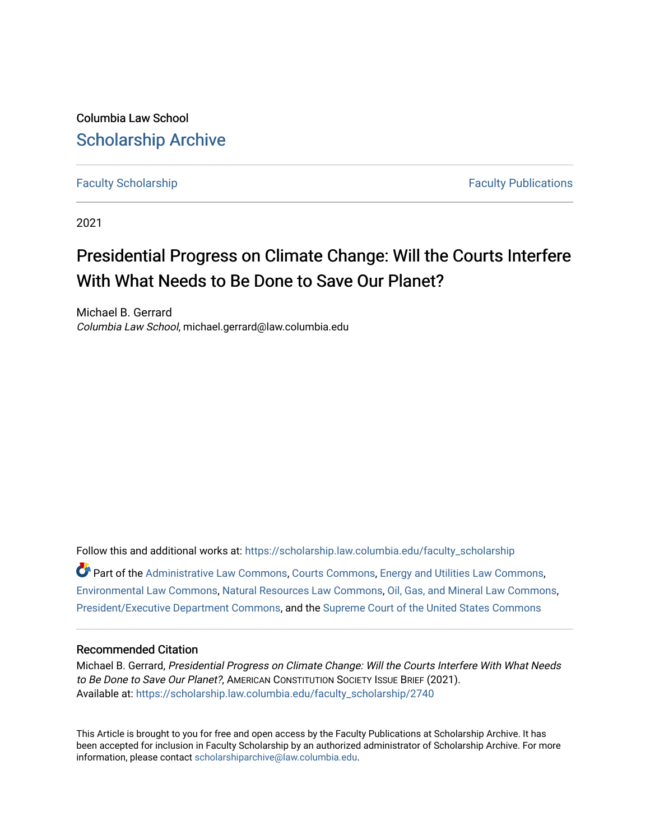Columbia Law School [Scholarship Archive](https://scholarship.law.columbia.edu/) 

[Faculty Scholarship](https://scholarship.law.columbia.edu/faculty_scholarship) **Faculty Scholarship Faculty Publications** 

2021

# Presidential Progress on Climate Change: Will the Courts Interfere With What Needs to Be Done to Save Our Planet?

Michael B. Gerrard Columbia Law School, michael.gerrard@law.columbia.edu

Follow this and additional works at: [https://scholarship.law.columbia.edu/faculty\\_scholarship](https://scholarship.law.columbia.edu/faculty_scholarship?utm_source=scholarship.law.columbia.edu%2Ffaculty_scholarship%2F2740&utm_medium=PDF&utm_campaign=PDFCoverPages)  $\bullet$  Part of the [Administrative Law Commons,](http://network.bepress.com/hgg/discipline/579?utm_source=scholarship.law.columbia.edu%2Ffaculty_scholarship%2F2740&utm_medium=PDF&utm_campaign=PDFCoverPages) [Courts Commons,](http://network.bepress.com/hgg/discipline/839?utm_source=scholarship.law.columbia.edu%2Ffaculty_scholarship%2F2740&utm_medium=PDF&utm_campaign=PDFCoverPages) [Energy and Utilities Law Commons](http://network.bepress.com/hgg/discipline/891?utm_source=scholarship.law.columbia.edu%2Ffaculty_scholarship%2F2740&utm_medium=PDF&utm_campaign=PDFCoverPages), [Environmental Law Commons](http://network.bepress.com/hgg/discipline/599?utm_source=scholarship.law.columbia.edu%2Ffaculty_scholarship%2F2740&utm_medium=PDF&utm_campaign=PDFCoverPages), [Natural Resources Law Commons,](http://network.bepress.com/hgg/discipline/863?utm_source=scholarship.law.columbia.edu%2Ffaculty_scholarship%2F2740&utm_medium=PDF&utm_campaign=PDFCoverPages) [Oil, Gas, and Mineral Law Commons,](http://network.bepress.com/hgg/discipline/864?utm_source=scholarship.law.columbia.edu%2Ffaculty_scholarship%2F2740&utm_medium=PDF&utm_campaign=PDFCoverPages) [President/Executive Department Commons](http://network.bepress.com/hgg/discipline/1118?utm_source=scholarship.law.columbia.edu%2Ffaculty_scholarship%2F2740&utm_medium=PDF&utm_campaign=PDFCoverPages), and the [Supreme Court of the United States Commons](http://network.bepress.com/hgg/discipline/1350?utm_source=scholarship.law.columbia.edu%2Ffaculty_scholarship%2F2740&utm_medium=PDF&utm_campaign=PDFCoverPages) 

#### Recommended Citation

Michael B. Gerrard, Presidential Progress on Climate Change: Will the Courts Interfere With What Needs to Be Done to Save Our Planet?, AMERICAN CONSTITUTION SOCIETY ISSUE BRIEF (2021). Available at: [https://scholarship.law.columbia.edu/faculty\\_scholarship/2740](https://scholarship.law.columbia.edu/faculty_scholarship/2740?utm_source=scholarship.law.columbia.edu%2Ffaculty_scholarship%2F2740&utm_medium=PDF&utm_campaign=PDFCoverPages)

This Article is brought to you for free and open access by the Faculty Publications at Scholarship Archive. It has been accepted for inclusion in Faculty Scholarship by an authorized administrator of Scholarship Archive. For more information, please contact [scholarshiparchive@law.columbia.edu.](mailto:scholarshiparchive@law.columbia.edu)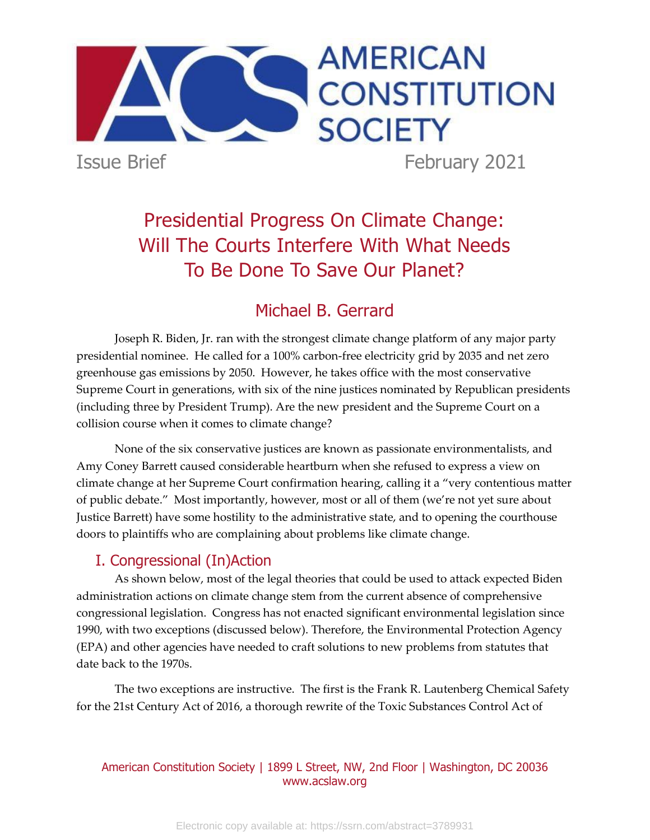

Presidential Progress On Climate Change: Will The Courts Interfere With What Needs To Be Done To Save Our Planet?

# Michael B. Gerrard

Joseph R. Biden, Jr. ran with the strongest climate change platform of any major party presidential nominee. He called for a 100% carbon-free electricity grid by 2035 and net zero greenhouse gas emissions by 2050. However, he takes office with the most conservative Supreme Court in generations, with six of the nine justices nominated by Republican presidents (including three by President Trump). Are the new president and the Supreme Court on a collision course when it comes to climate change?

None of the six conservative justices are known as passionate environmentalists, and Amy Coney Barrett caused considerable heartburn when she refused to express a view on climate change at her Supreme Court confirmation hearing, calling it a "very contentious matter of public debate." Most importantly, however, most or all of them (we're not yet sure about Justice Barrett) have some hostility to the administrative state, and to opening the courthouse doors to plaintiffs who are complaining about problems like climate change.

# I. Congressional (In)Action

As shown below, most of the legal theories that could be used to attack expected Biden administration actions on climate change stem from the current absence of comprehensive congressional legislation. Congress has not enacted significant environmental legislation since 1990, with two exceptions (discussed below). Therefore, the Environmental Protection Agency (EPA) and other agencies have needed to craft solutions to new problems from statutes that date back to the 1970s.

The two exceptions are instructive. The first is the Frank R. Lautenberg Chemical Safety for the 21st Century Act of 2016, a thorough rewrite of the Toxic Substances Control Act of

### American Constitution Society | 1899 L Street, NW, 2nd Floor | Washington, DC 20036 www.acslaw.org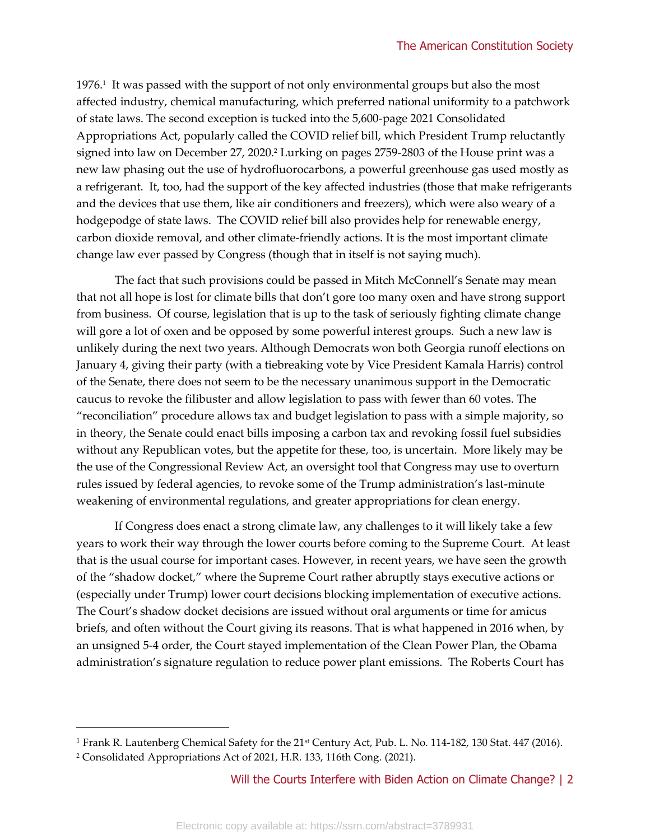1976.<sup>1</sup> It was passed with the support of not only environmental groups but also the most affected industry, chemical manufacturing, which preferred national uniformity to a patchwork of state laws. The second exception is tucked into the 5,600-page 2021 Consolidated Appropriations Act, popularly called the COVID relief bill, which President Trump reluctantly signed into law on December 27, 2020.<sup>2</sup> Lurking on pages 2759-2803 of the House print was a new law phasing out the use of hydrofluorocarbons, a powerful greenhouse gas used mostly as a refrigerant. It, too, had the support of the key affected industries (those that make refrigerants and the devices that use them, like air conditioners and freezers), which were also weary of a hodgepodge of state laws. The COVID relief bill also provides help for renewable energy, carbon dioxide removal, and other climate-friendly actions. It is the most important climate change law ever passed by Congress (though that in itself is not saying much).

The fact that such provisions could be passed in Mitch McConnell's Senate may mean that not all hope is lost for climate bills that don't gore too many oxen and have strong support from business. Of course, legislation that is up to the task of seriously fighting climate change will gore a lot of oxen and be opposed by some powerful interest groups. Such a new law is unlikely during the next two years. Although Democrats won both Georgia runoff elections on January 4, giving their party (with a tiebreaking vote by Vice President Kamala Harris) control of the Senate, there does not seem to be the necessary unanimous support in the Democratic caucus to revoke the filibuster and allow legislation to pass with fewer than 60 votes. The "reconciliation" procedure allows tax and budget legislation to pass with a simple majority, so in theory, the Senate could enact bills imposing a carbon tax and revoking fossil fuel subsidies without any Republican votes, but the appetite for these, too, is uncertain. More likely may be the use of the Congressional Review Act, an oversight tool that Congress may use to overturn rules issued by federal agencies, to revoke some of the Trump administration's last-minute weakening of environmental regulations, and greater appropriations for clean energy.

If Congress does enact a strong climate law, any challenges to it will likely take a few years to work their way through the lower courts before coming to the Supreme Court. At least that is the usual course for important cases. However, in recent years, we have seen the growth of the "shadow docket," where the Supreme Court rather abruptly stays executive actions or (especially under Trump) lower court decisions blocking implementation of executive actions. The Court's shadow docket decisions are issued without oral arguments or time for amicus briefs, and often without the Court giving its reasons. That is what happened in 2016 when, by an unsigned 5-4 order, the Court stayed implementation of the Clean Power Plan, the Obama administration's signature regulation to reduce power plant emissions. The Roberts Court has

<sup>&</sup>lt;sup>1</sup> Frank R. Lautenberg Chemical Safety for the 21<sup>st</sup> Century Act, Pub. L. No. 114-182, 130 Stat. 447 (2016).

<sup>2</sup> Consolidated Appropriations Act of 2021, H.R. 133, 116th Cong. (2021).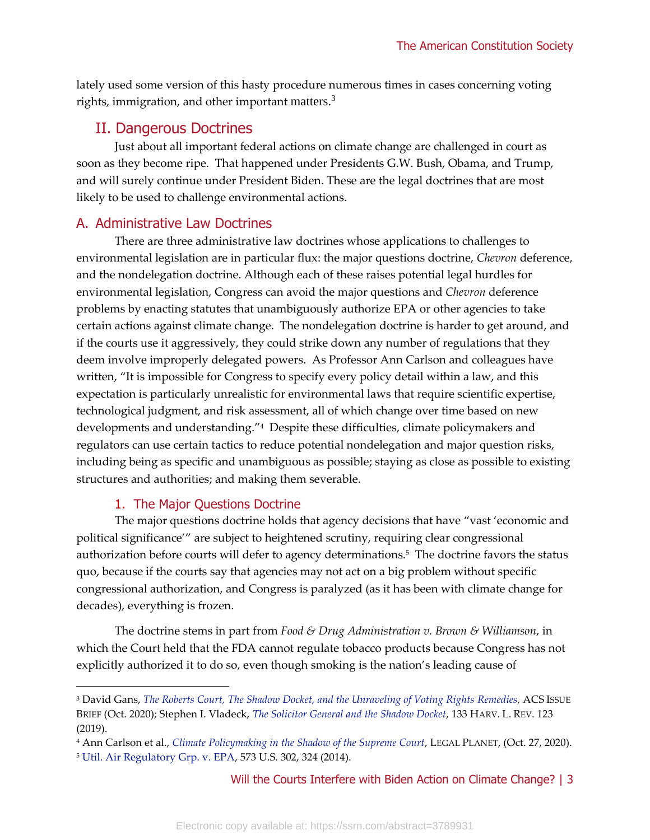lately used some version of this hasty procedure numerous times in cases concerning voting rights, immigration, and other important matters. $3$ 

# II. Dangerous Doctrines

Just about all important federal actions on climate change are challenged in court as soon as they become ripe. That happened under Presidents G.W. Bush, Obama, and Trump, and will surely continue under President Biden. These are the legal doctrines that are most likely to be used to challenge environmental actions.

# A. Administrative Law Doctrines

There are three administrative law doctrines whose applications to challenges to environmental legislation are in particular flux: the major questions doctrine, *Chevron* deference, and the nondelegation doctrine. Although each of these raises potential legal hurdles for environmental legislation, Congress can avoid the major questions and *Chevron* deference problems by enacting statutes that unambiguously authorize EPA or other agencies to take certain actions against climate change. The nondelegation doctrine is harder to get around, and if the courts use it aggressively, they could strike down any number of regulations that they deem involve improperly delegated powers. As Professor Ann Carlson and colleagues have written, "It is impossible for Congress to specify every policy detail within a law, and this expectation is particularly unrealistic for environmental laws that require scientific expertise, technological judgment, and risk assessment, all of which change over time based on new developments and understanding."<sup>4</sup> Despite these difficulties, climate policymakers and regulators can use certain tactics to reduce potential nondelegation and major question risks, including being as specific and unambiguous as possible; staying as close as possible to existing structures and authorities; and making them severable.

# 1. The Major Questions Doctrine

The major questions doctrine holds that agency decisions that have "vast 'economic and political significance'" are subject to heightened scrutiny, requiring clear congressional authorization before courts will defer to agency determinations.<sup>5</sup> The doctrine favors the status quo, because if the courts say that agencies may not act on a big problem without specific congressional authorization, and Congress is paralyzed (as it has been with climate change for decades), everything is frozen.

The doctrine stems in part from *Food & Drug Administration v. Brown & Williamson*, in which the Court held that the FDA cannot regulate tobacco products because Congress has not explicitly authorized it to do so, even though smoking is the nation's leading cause of

<sup>3</sup> David Gans, *[The Roberts Court, The Shadow Docket, and the Unraveling of Voting Rights Remedies](https://www.acslaw.org/issue_brief/briefs-landing/the-roberts-court-the-shadow-docket-and-the-unraveling-of-voting-rights-remedies/)*, ACS ISSUE BRIEF (Oct. 2020); Stephen I. Vladeck, *[The Solicitor General and the Shadow Docket](https://harvardlawreview.org/2019/11/the-solicitor-general-and-the-shadow-docket/)*, 133 HARV. L. REV. 123 (2019).

<sup>4</sup> Ann Carlson et al., *[Climate Policymaking in the Shadow of the Supreme Court](https://legal-planet.org/2020/10/27/climate-policymaking-in-the-shadow-of-the-supreme-court/)*, LEGAL PLANET, (Oct. 27, 2020). <sup>5</sup> [Util. Air Regulatory Grp. v. EPA,](https://supreme.justia.com/cases/federal/us/573/302/) 573 U.S. 302, 324 (2014).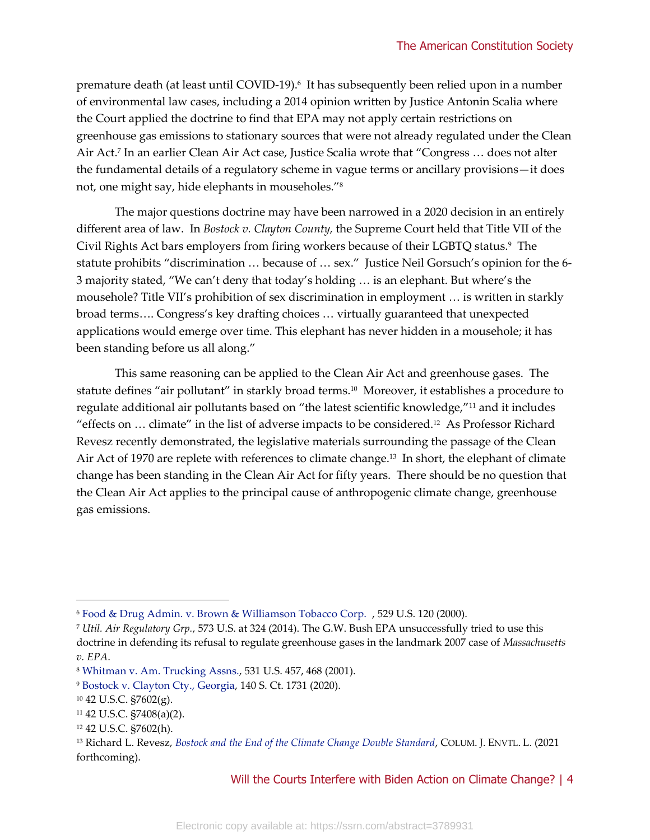premature death (at least until COVID-19).<sup>6</sup> It has subsequently been relied upon in a number of environmental law cases, including a 2014 opinion written by Justice Antonin Scalia where the Court applied the doctrine to find that EPA may not apply certain restrictions on greenhouse gas emissions to stationary sources that were not already regulated under the Clean Air Act.<sup>7</sup> In an earlier Clean Air Act case, Justice Scalia wrote that "Congress … does not alter the fundamental details of a regulatory scheme in vague terms or ancillary provisions—it does not, one might say, hide elephants in mouseholes."<sup>8</sup>

The major questions doctrine may have been narrowed in a 2020 decision in an entirely different area of law. In *Bostock v. Clayton County,* the Supreme Court held that Title VII of the Civil Rights Act bars employers from firing workers because of their LGBTQ status.<sup>9</sup> The statute prohibits "discrimination … because of … sex." Justice Neil Gorsuch's opinion for the 6- 3 majority stated, "We can't deny that today's holding … is an elephant. But where's the mousehole? Title VII's prohibition of sex discrimination in employment … is written in starkly broad terms…. Congress's key drafting choices … virtually guaranteed that unexpected applications would emerge over time. This elephant has never hidden in a mousehole; it has been standing before us all along."

This same reasoning can be applied to the Clean Air Act and greenhouse gases. The statute defines "air pollutant" in starkly broad terms.<sup>10</sup> Moreover, it establishes a procedure to regulate additional air pollutants based on "the latest scientific knowledge,"<sup>11</sup> and it includes "effects on … climate" in the list of adverse impacts to be considered.<sup>12</sup> As Professor Richard Revesz recently demonstrated, the legislative materials surrounding the passage of the Clean Air Act of 1970 are replete with references to climate change.<sup>13</sup> In short, the elephant of climate change has been standing in the Clean Air Act for fifty years. There should be no question that the Clean Air Act applies to the principal cause of anthropogenic climate change, greenhouse gas emissions.

<sup>6</sup> [Food & Drug Admin. v. Brown & Williamson Tobacco Corp.](https://supreme.justia.com/cases/federal/us/529/120/) , 529 U.S. 120 (2000).

<sup>7</sup> *Util. Air Regulatory Grp.*, 573 U.S. at 324 (2014). The G.W. Bush EPA unsuccessfully tried to use this doctrine in defending its refusal to regulate greenhouse gases in the landmark 2007 case of *Massachusetts v. EPA*.

<sup>8</sup> [Whitman v. Am. Trucking Assns.,](https://supreme.justia.com/cases/federal/us/531/457/) 531 U.S. 457, 468 (2001).

<sup>9</sup> [Bostock v. Clayton Cty., Georgia,](https://www.law.cornell.edu/supct/pdf/17-1618.pdf) 140 S. Ct. 1731 (2020).

<sup>10</sup> 42 U.S.C. §7602(g).

<sup>11</sup> 42 U.S.C. §7408(a)(2).

<sup>12</sup> 42 U.S.C. §7602(h).

<sup>13</sup> Richard L. Revesz, *[Bostock and the End of the Climate Change Double Standard](https://policyintegrity.org/files/publications/Bostock_and_the_End_of_the_Climate_Double_Standard.pdf)*, COLUM. J. ENVTL. L. (2021 forthcoming).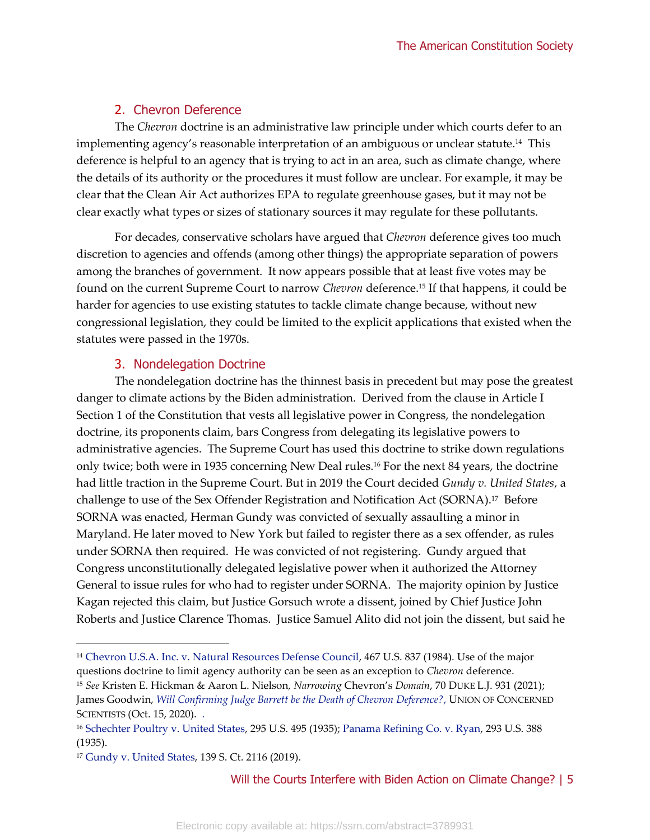# 2. Chevron Deference

The *Chevron* doctrine is an administrative law principle under which courts defer to an implementing agency's reasonable interpretation of an ambiguous or unclear statute. 14 This deference is helpful to an agency that is trying to act in an area, such as climate change, where the details of its authority or the procedures it must follow are unclear. For example, it may be clear that the Clean Air Act authorizes EPA to regulate greenhouse gases, but it may not be clear exactly what types or sizes of stationary sources it may regulate for these pollutants.

For decades, conservative scholars have argued that *Chevron* deference gives too much discretion to agencies and offends (among other things) the appropriate separation of powers among the branches of government. It now appears possible that at least five votes may be found on the current Supreme Court to narrow *Chevron* deference.<sup>15</sup> If that happens, it could be harder for agencies to use existing statutes to tackle climate change because, without new congressional legislation, they could be limited to the explicit applications that existed when the statutes were passed in the 1970s.

# 3. Nondelegation Doctrine

The nondelegation doctrine has the thinnest basis in precedent but may pose the greatest danger to climate actions by the Biden administration. Derived from the clause in Article I Section 1 of the Constitution that vests all legislative power in Congress, the nondelegation doctrine, its proponents claim, bars Congress from delegating its legislative powers to administrative agencies. The Supreme Court has used this doctrine to strike down regulations only twice; both were in 1935 concerning New Deal rules.<sup>16</sup> For the next 84 years, the doctrine had little traction in the Supreme Court. But in 2019 the Court decided *Gundy v. United States*, a challenge to use of the Sex Offender Registration and Notification Act (SORNA).<sup>17</sup> Before SORNA was enacted, Herman Gundy was convicted of sexually assaulting a minor in Maryland. He later moved to New York but failed to register there as a sex offender, as rules under SORNA then required. He was convicted of not registering. Gundy argued that Congress unconstitutionally delegated legislative power when it authorized the Attorney General to issue rules for who had to register under SORNA. The majority opinion by Justice Kagan rejected this claim, but Justice Gorsuch wrote a dissent, joined by Chief Justice John Roberts and Justice Clarence Thomas. Justice Samuel Alito did not join the dissent, but said he

<sup>14</sup> [Chevron U.S.A. Inc. v. Natural Resources Defense Council,](https://supreme.justia.com/cases/federal/us/467/837/) 467 U.S. 837 (1984). Use of the major questions doctrine to limit agency authority can be seen as an exception to *Chevron* deference.

<sup>15</sup> *See* Kristen E. Hickman & Aaron L. Nielson*, Narrowing* Chevron's *Domain*, 70 DUKE L.J. 931 (2021); James Goodwin, *[Will Confirming Judge Barrett be the Death of Chevron Deference?](https://blog.ucsusa.org/guest-commentary/will-confirming-judge-barrett-be-the-death-of-chevron-deference)*, UNION OF CONCERNED SCIENTISTS (Oct. 15, 2020). .

<sup>16</sup> [Schechter Poultry v. United States,](https://supreme.justia.com/cases/federal/us/295/495/#tab-opinion-1934742) 295 U.S. 495 (1935); [Panama Refining Co. v. Ryan,](https://supreme.justia.com/cases/federal/us/293/388/) 293 U.S. 388 (1935).

<sup>17</sup> [Gundy v. United States,](https://casetext.com/case/gundy-v-united-states-3) 139 S. Ct. 2116 (2019).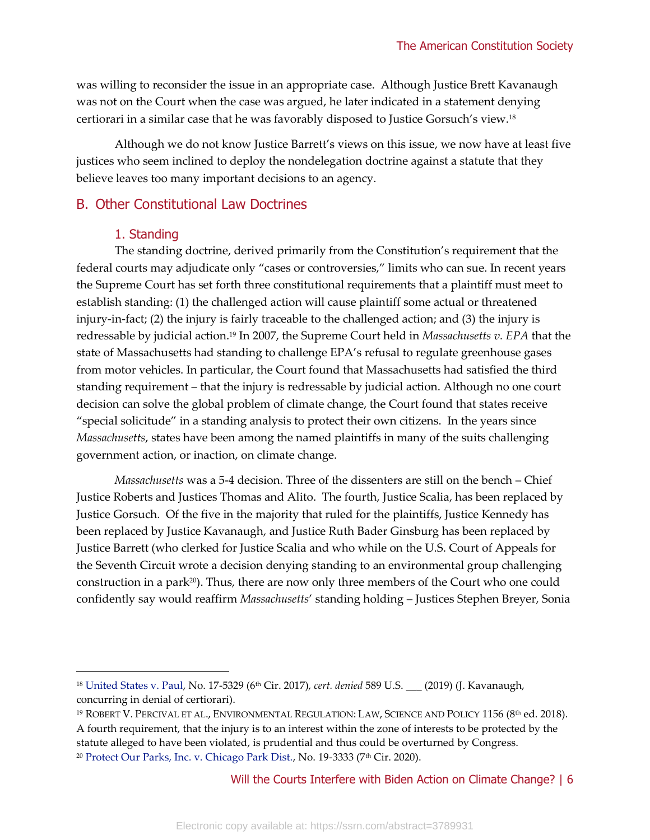was willing to reconsider the issue in an appropriate case. Although Justice Brett Kavanaugh was not on the Court when the case was argued, he later indicated in a statement denying certiorari in a similar case that he was favorably disposed to Justice Gorsuch's view.<sup>18</sup>

Although we do not know Justice Barrett's views on this issue, we now have at least five justices who seem inclined to deploy the nondelegation doctrine against a statute that they believe leaves too many important decisions to an agency.

#### B. Other Constitutional Law Doctrines

#### 1. Standing

The standing doctrine, derived primarily from the Constitution's requirement that the federal courts may adjudicate only "cases or controversies," limits who can sue. In recent years the Supreme Court has set forth three constitutional requirements that a plaintiff must meet to establish standing: (1) the challenged action will cause plaintiff some actual or threatened injury-in-fact; (2) the injury is fairly traceable to the challenged action; and (3) the injury is redressable by judicial action.<sup>19</sup> In 2007, the Supreme Court held in *Massachusetts v. EPA* that the state of Massachusetts had standing to challenge EPA's refusal to regulate greenhouse gases from motor vehicles. In particular, the Court found that Massachusetts had satisfied the third standing requirement – that the injury is redressable by judicial action. Although no one court decision can solve the global problem of climate change, the Court found that states receive "special solicitude" in a standing analysis to protect their own citizens. In the years since *Massachusetts*, states have been among the named plaintiffs in many of the suits challenging government action, or inaction, on climate change.

*Massachusetts* was a 5-4 decision. Three of the dissenters are still on the bench – Chief Justice Roberts and Justices Thomas and Alito. The fourth, Justice Scalia, has been replaced by Justice Gorsuch. Of the five in the majority that ruled for the plaintiffs, Justice Kennedy has been replaced by Justice Kavanaugh, and Justice Ruth Bader Ginsburg has been replaced by Justice Barrett (who clerked for Justice Scalia and who while on the U.S. Court of Appeals for the Seventh Circuit wrote a decision denying standing to an environmental group challenging construction in a park<sup>20</sup>). Thus, there are now only three members of the Court who one could confidently say would reaffirm *Massachusetts*' standing holding – Justices Stephen Breyer, Sonia

<sup>&</sup>lt;sup>18</sup> [United States v. Paul,](https://caselaw.findlaw.com/us-6th-circuit/1882397.html) No. 17-5329 (6<sup>th</sup> Cir. 2017), *cert. denied* 589 U.S. \_\_\_ (2019) (J. Kavanaugh, concurring in denial of certiorari).

<sup>&</sup>lt;sup>19</sup> ROBERT V. PERCIVAL ET AL., ENVIRONMENTAL REGULATION: LAW, SCIENCE AND POLICY 1156 (8<sup>th</sup> ed. 2018). A fourth requirement, that the injury is to an interest within the zone of interests to be protected by the statute alleged to have been violated, is prudential and thus could be overturned by Congress. <sup>20</sup> [Protect Our Parks, Inc. v. Chicago Park Dist.,](https://law.justia.com/cases/federal/appellate-courts/ca7/19-3333/19-3333-2020-08-21.html) No. 19-3333 (7<sup>th</sup> Cir. 2020).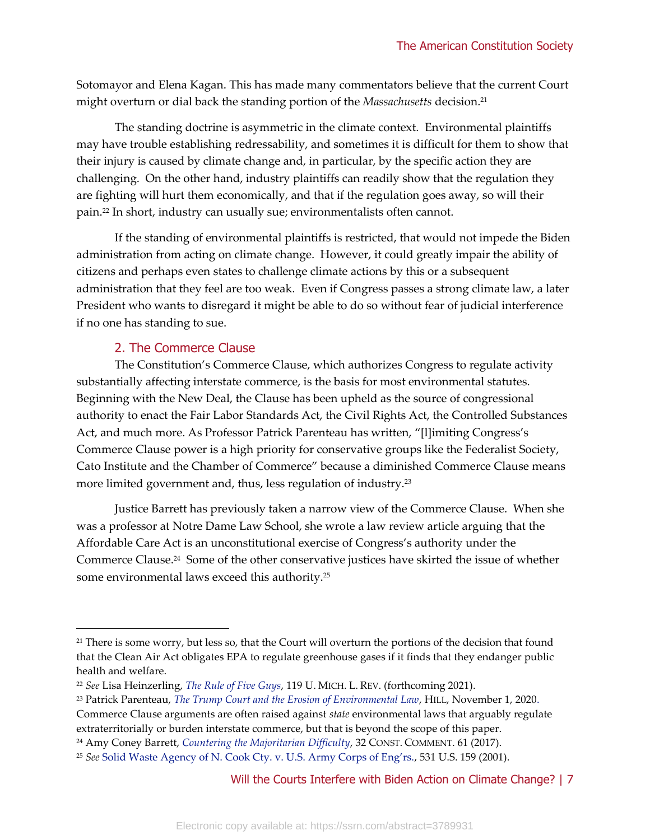Sotomayor and Elena Kagan. This has made many commentators believe that the current Court might overturn or dial back the standing portion of the *Massachusetts* decision.<sup>21</sup>

The standing doctrine is asymmetric in the climate context. Environmental plaintiffs may have trouble establishing redressability, and sometimes it is difficult for them to show that their injury is caused by climate change and, in particular, by the specific action they are challenging. On the other hand, industry plaintiffs can readily show that the regulation they are fighting will hurt them economically, and that if the regulation goes away, so will their pain.<sup>22</sup> In short, industry can usually sue; environmentalists often cannot.

If the standing of environmental plaintiffs is restricted, that would not impede the Biden administration from acting on climate change. However, it could greatly impair the ability of citizens and perhaps even states to challenge climate actions by this or a subsequent administration that they feel are too weak. Even if Congress passes a strong climate law, a later President who wants to disregard it might be able to do so without fear of judicial interference if no one has standing to sue.

#### 2. The Commerce Clause

The Constitution's Commerce Clause, which authorizes Congress to regulate activity substantially affecting interstate commerce, is the basis for most environmental statutes. Beginning with the New Deal, the Clause has been upheld as the source of congressional authority to enact the Fair Labor Standards Act, the Civil Rights Act, the Controlled Substances Act, and much more. As Professor Patrick Parenteau has written, "[l]imiting Congress's Commerce Clause power is a high priority for conservative groups like the Federalist Society, Cato Institute and the Chamber of Commerce" because a diminished Commerce Clause means more limited government and, thus, less regulation of industry.<sup>23</sup>

Justice Barrett has previously taken a narrow view of the Commerce Clause. When she was a professor at Notre Dame Law School, she wrote a law review article arguing that the Affordable Care Act is an unconstitutional exercise of Congress's authority under the Commerce Clause.<sup>24</sup> Some of the other conservative justices have skirted the issue of whether some environmental laws exceed this authority.<sup>25</sup>

<sup>&</sup>lt;sup>21</sup> There is some worry, but less so, that the Court will overturn the portions of the decision that found that the Clean Air Act obligates EPA to regulate greenhouse gases if it finds that they endanger public health and welfare.

<sup>22</sup> *See* Lisa Heinzerling, *[The Rule of Five Guys](https://privpapers.ssrn.com/sol3/papers.cfm?abstract_id=3679954)*, 119 U. MICH. L. REV. (forthcoming 2021).

<sup>23</sup> Patrick Parenteau, *[The Trump Court and the Erosion of Environmental Law](https://thehill.com/opinion/energy-environment/523839-the-trump-court-and-the-erosion-of-environmental-law)*, HILL, November 1, 2020. Commerce Clause arguments are often raised against *state* environmental laws that arguably regulate extraterritorially or burden interstate commerce, but that is beyond the scope of this paper.

<sup>24</sup> Amy Coney Barrett, *[Countering the Majoritarian Difficulty](https://scholarship.law.umn.edu/cgi/viewcontent.cgi?article=1003&context=concomm)*, 32 CONST. COMMENT. 61 (2017).

<sup>25</sup> *See* [Solid Waste Agency of N. Cook Cty. v. U.S. Army Corps of Eng'rs.](https://supreme.justia.com/cases/federal/us/531/159/), 531 U.S. 159 (2001).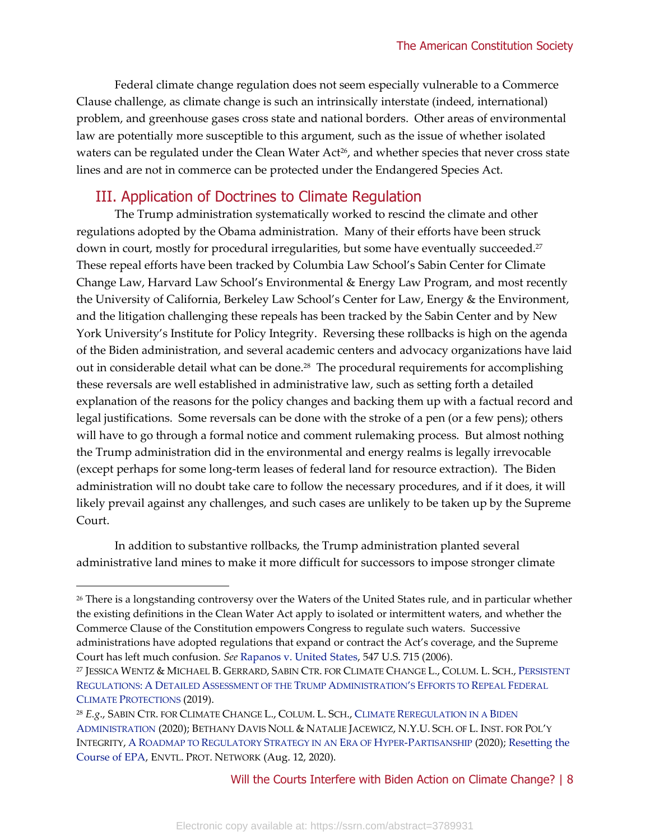Federal climate change regulation does not seem especially vulnerable to a Commerce Clause challenge, as climate change is such an intrinsically interstate (indeed, international) problem, and greenhouse gases cross state and national borders. Other areas of environmental law are potentially more susceptible to this argument, such as the issue of whether isolated waters can be regulated under the Clean Water Act<sup>26</sup>, and whether species that never cross state lines and are not in commerce can be protected under the Endangered Species Act.

# III. Application of Doctrines to Climate Regulation

The Trump administration systematically worked to rescind the climate and other regulations adopted by the Obama administration. Many of their efforts have been struck down in court, mostly for procedural irregularities, but some have eventually succeeded. 27 These repeal efforts have been tracked by Columbia Law School's Sabin Center for Climate Change Law, Harvard Law School's Environmental & Energy Law Program, and most recently the University of California, Berkeley Law School's Center for Law, Energy & the Environment, and the litigation challenging these repeals has been tracked by the Sabin Center and by New York University's Institute for Policy Integrity. Reversing these rollbacks is high on the agenda of the Biden administration, and several academic centers and advocacy organizations have laid out in considerable detail what can be done.<sup>28</sup> The procedural requirements for accomplishing these reversals are well established in administrative law, such as setting forth a detailed explanation of the reasons for the policy changes and backing them up with a factual record and legal justifications. Some reversals can be done with the stroke of a pen (or a few pens); others will have to go through a formal notice and comment rulemaking process. But almost nothing the Trump administration did in the environmental and energy realms is legally irrevocable (except perhaps for some long-term leases of federal land for resource extraction). The Biden administration will no doubt take care to follow the necessary procedures, and if it does, it will likely prevail against any challenges, and such cases are unlikely to be taken up by the Supreme Court.

In addition to substantive rollbacks, the Trump administration planted several administrative land mines to make it more difficult for successors to impose stronger climate

<sup>&</sup>lt;sup>26</sup> There is a longstanding controversy over the Waters of the United States rule, and in particular whether the existing definitions in the Clean Water Act apply to isolated or intermittent waters, and whether the Commerce Clause of the Constitution empowers Congress to regulate such waters. Successive administrations have adopted regulations that expand or contract the Act's coverage, and the Supreme Court has left much confusion. *See* [Rapanos v. United States,](https://supreme.justia.com/cases/federal/us/547/715/) 547 U.S. 715 (2006).

<sup>27</sup> JESSICA WENTZ & MICHAEL B. GERRARD, SABIN CTR. FOR CLIMATE CHANGE L., COLUM. L. SCH., P[ERSISTENT](http://columbiaclimatelaw.com/files/2019/06/Wentz-and-Gerrard-2019-06-Persistent-Regulations.pdf)  REGULATIONS: A DETAILED A[SSESSMENT OF THE](http://columbiaclimatelaw.com/files/2019/06/Wentz-and-Gerrard-2019-06-Persistent-Regulations.pdf) TRUMP ADMINISTRATION'S EFFORTS TO REPEAL FEDERAL CLIMATE P[ROTECTIONS](http://columbiaclimatelaw.com/files/2019/06/Wentz-and-Gerrard-2019-06-Persistent-Regulations.pdf) (2019).

<sup>28</sup> *E.g*., SABIN CTR. FOR CLIMATE CHANGE L., COLUM. L. SCH., CLIMATE R[EREGULATION IN A](https://climate.law.columbia.edu/sites/default/files/content/Climate%20Reregulation%20in%20a%20Biden%20Administration.pdf) BIDEN A[DMINISTRATION](https://climate.law.columbia.edu/sites/default/files/content/Climate%20Reregulation%20in%20a%20Biden%20Administration.pdf) (2020); BETHANY DAVIS NOLL & NATALIE JACEWICZ, N.Y.U. SCH. OF L. INST. FOR POL'Y INTEGRITY, A ROADMAP TO REGULATORY S[TRATEGY IN AN](https://policyintegrity.org/publications/detail/a-roadmap-to-regulatory-strategy-in-an-era-of-hyper-partisanship) ERA OF HYPER-PARTISANSHIP (2020); [Resetting the](https://www.environmentalprotectionnetwork.org/reset/)  [Course of EPA,](https://www.environmentalprotectionnetwork.org/reset/) ENVTL. PROT. NETWORK (Aug. 12, 2020).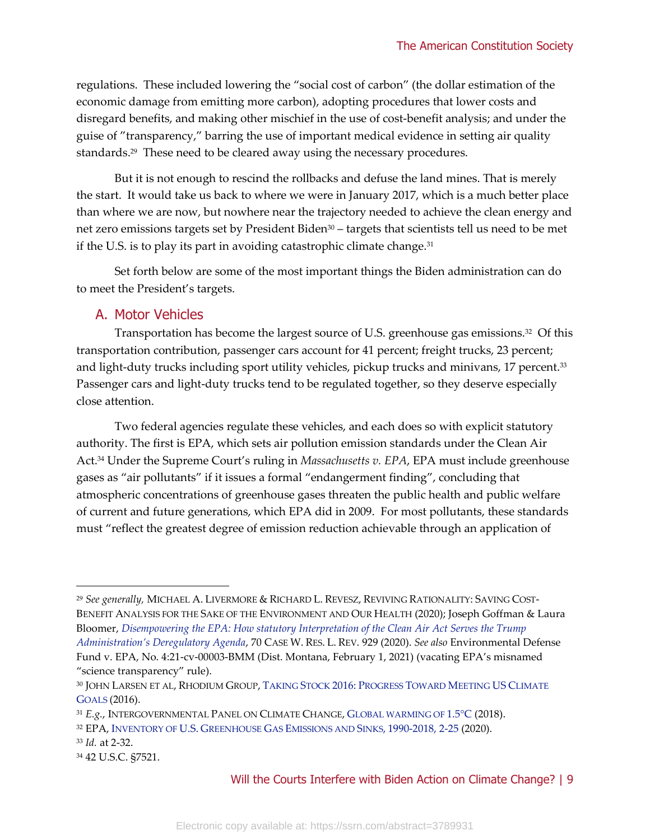regulations. These included lowering the "social cost of carbon" (the dollar estimation of the economic damage from emitting more carbon), adopting procedures that lower costs and disregard benefits, and making other mischief in the use of cost-benefit analysis; and under the guise of "transparency," barring the use of important medical evidence in setting air quality standards.<sup>29</sup> These need to be cleared away using the necessary procedures.

But it is not enough to rescind the rollbacks and defuse the land mines. That is merely the start. It would take us back to where we were in January 2017, which is a much better place than where we are now, but nowhere near the trajectory needed to achieve the clean energy and net zero emissions targets set by President Biden<sup>30</sup> – targets that scientists tell us need to be met if the U.S. is to play its part in avoiding catastrophic climate change.<sup>31</sup>

Set forth below are some of the most important things the Biden administration can do to meet the President's targets.

#### A. Motor Vehicles

Transportation has become the largest source of U.S. greenhouse gas emissions.<sup>32</sup> Of this transportation contribution, passenger cars account for 41 percent; freight trucks, 23 percent; and light-duty trucks including sport utility vehicles, pickup trucks and minivans, 17 percent.<sup>33</sup> Passenger cars and light-duty trucks tend to be regulated together, so they deserve especially close attention.

Two federal agencies regulate these vehicles, and each does so with explicit statutory authority. The first is EPA, which sets air pollution emission standards under the Clean Air Act. <sup>34</sup> Under the Supreme Court's ruling in *Massachusetts v. EPA*, EPA must include greenhouse gases as "air pollutants" if it issues a formal "endangerment finding", concluding that atmospheric concentrations of greenhouse gases threaten the public health and public welfare of current and future generations, which EPA did in 2009. For most pollutants, these standards must "reflect the greatest degree of emission reduction achievable through an application of

<sup>29</sup> *See generally,* MICHAEL A. LIVERMORE & RICHARD L. REVESZ, REVIVING RATIONALITY: SAVING COST-BENEFIT ANALYSIS FOR THE SAKE OF THE ENVIRONMENT AND OUR HEALTH (2020); Joseph Goffman & Laura Bloomer, *[Disempowering the EPA: How statutory Interpretation of the Clean Air Act Serves the Trump](https://scholarlycommons.law.case.edu/caselrev/vol70/iss4/7/)  [Administration's Deregulatory Agenda](https://scholarlycommons.law.case.edu/caselrev/vol70/iss4/7/)*, 70 CASE W. RES. L. REV. 929 (2020). *See also* Environmental Defense Fund v. EPA, No. 4:21-cv-00003-BMM (Dist. Montana, February 1, 2021) (vacating EPA's misnamed "science transparency" rule).

<sup>30</sup> JOHN LARSEN ET AL, RHODIUM GROUP, TAKING STOCK 2016: P[ROGRESS](https://rhg.com/research/taking-stock-2016-us-greenhouse-gas-emissions/) TOWARD MEETING US CLIMATE G[OALS](https://rhg.com/research/taking-stock-2016-us-greenhouse-gas-emissions/) (2016).

<sup>31</sup> *E.g.*, INTERGOVERNMENTAL PANEL ON CLIMATE CHANGE, G[LOBAL WARMING OF](https://www.ipcc.ch/sr15/) 1.5°C (2018).

<sup>32</sup> EPA, INVENTORY OF U.S. GREENHOUSE GAS E[MISSIONS AND](https://www.epa.gov/sites/production/files/2020-04/documents/us-ghg-inventory-2020-main-text.pdf) SINKS, 1990-2018, 2-25 (2020).

<sup>33</sup> *Id.* at 2-32.

<sup>34</sup> 42 U.S.C. §7521.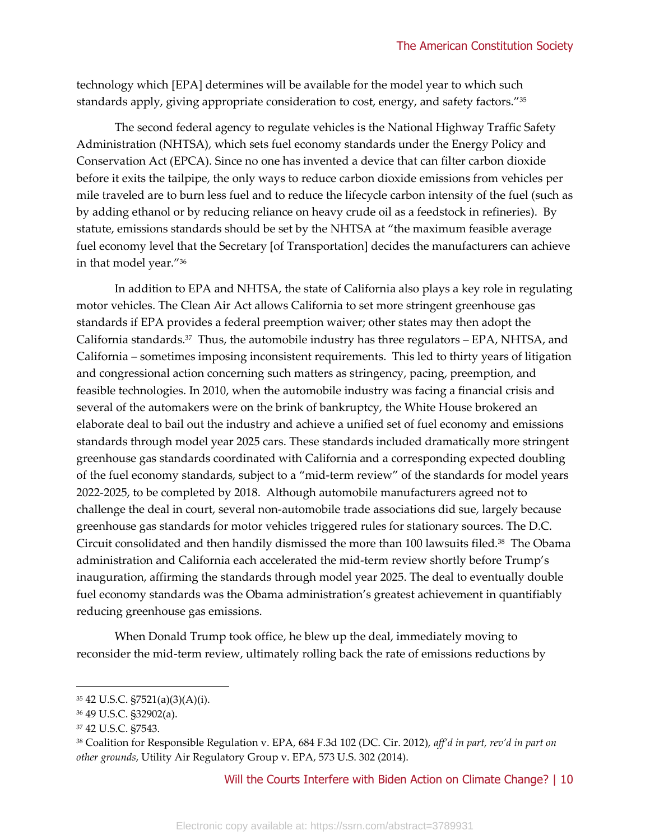technology which [EPA] determines will be available for the model year to which such standards apply, giving appropriate consideration to cost, energy, and safety factors."<sup>35</sup>

The second federal agency to regulate vehicles is the National Highway Traffic Safety Administration (NHTSA), which sets fuel economy standards under the Energy Policy and Conservation Act (EPCA). Since no one has invented a device that can filter carbon dioxide before it exits the tailpipe, the only ways to reduce carbon dioxide emissions from vehicles per mile traveled are to burn less fuel and to reduce the lifecycle carbon intensity of the fuel (such as by adding ethanol or by reducing reliance on heavy crude oil as a feedstock in refineries). By statute, emissions standards should be set by the NHTSA at "the maximum feasible average fuel economy level that the Secretary [of Transportation] decides the manufacturers can achieve in that model year."<sup>36</sup>

In addition to EPA and NHTSA, the state of California also plays a key role in regulating motor vehicles. The Clean Air Act allows California to set more stringent greenhouse gas standards if EPA provides a federal preemption waiver; other states may then adopt the California standards.<sup>37</sup> Thus, the automobile industry has three regulators – EPA, NHTSA, and California – sometimes imposing inconsistent requirements. This led to thirty years of litigation and congressional action concerning such matters as stringency, pacing, preemption, and feasible technologies. In 2010, when the automobile industry was facing a financial crisis and several of the automakers were on the brink of bankruptcy, the White House brokered an elaborate deal to bail out the industry and achieve a unified set of fuel economy and emissions standards through model year 2025 cars. These standards included dramatically more stringent greenhouse gas standards coordinated with California and a corresponding expected doubling of the fuel economy standards, subject to a "mid-term review" of the standards for model years 2022-2025, to be completed by 2018. Although automobile manufacturers agreed not to challenge the deal in court, several non-automobile trade associations did sue, largely because greenhouse gas standards for motor vehicles triggered rules for stationary sources. The D.C. Circuit consolidated and then handily dismissed the more than 100 lawsuits filed.<sup>38</sup> The Obama administration and California each accelerated the mid-term review shortly before Trump's inauguration, affirming the standards through model year 2025. The deal to eventually double fuel economy standards was the Obama administration's greatest achievement in quantifiably reducing greenhouse gas emissions.

When Donald Trump took office, he blew up the deal, immediately moving to reconsider the mid-term review, ultimately rolling back the rate of emissions reductions by

<sup>35</sup> 42 U.S.C. §7521(a)(3)(A)(i).

<sup>36</sup> 49 U.S.C. §32902(a).

<sup>37</sup> 42 U.S.C. §7543.

<sup>38</sup> Coalition for Responsible Regulation v. EPA, 684 F.3d 102 (DC. Cir. 2012), *aff'd in part, rev'd in part on other grounds*, Utility Air Regulatory Group v. EPA, 573 U.S. 302 (2014).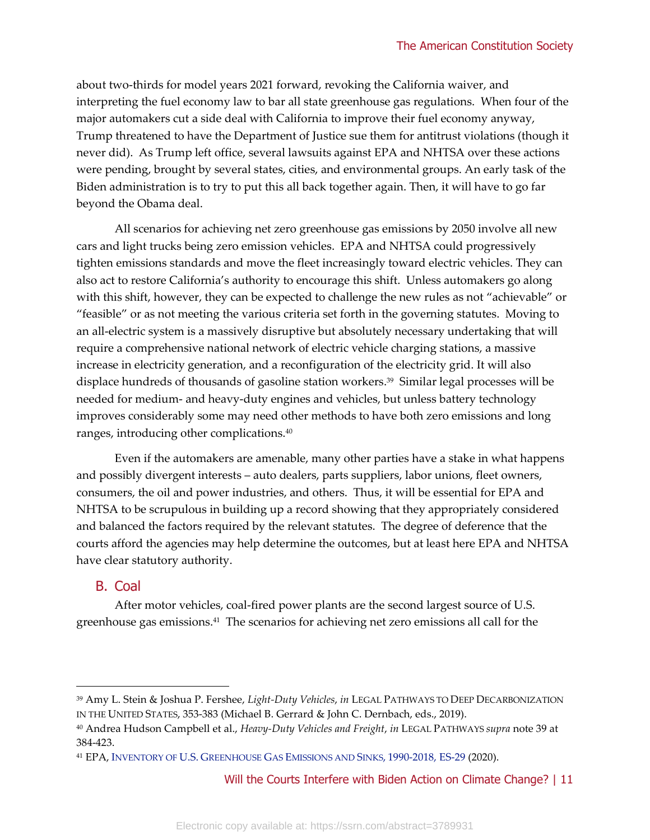about two-thirds for model years 2021 forward, revoking the California waiver, and interpreting the fuel economy law to bar all state greenhouse gas regulations. When four of the major automakers cut a side deal with California to improve their fuel economy anyway, Trump threatened to have the Department of Justice sue them for antitrust violations (though it never did). As Trump left office, several lawsuits against EPA and NHTSA over these actions were pending, brought by several states, cities, and environmental groups. An early task of the Biden administration is to try to put this all back together again. Then, it will have to go far beyond the Obama deal.

All scenarios for achieving net zero greenhouse gas emissions by 2050 involve all new cars and light trucks being zero emission vehicles. EPA and NHTSA could progressively tighten emissions standards and move the fleet increasingly toward electric vehicles. They can also act to restore California's authority to encourage this shift. Unless automakers go along with this shift, however, they can be expected to challenge the new rules as not "achievable" or "feasible" or as not meeting the various criteria set forth in the governing statutes. Moving to an all-electric system is a massively disruptive but absolutely necessary undertaking that will require a comprehensive national network of electric vehicle charging stations, a massive increase in electricity generation, and a reconfiguration of the electricity grid. It will also displace hundreds of thousands of gasoline station workers. 39 Similar legal processes will be needed for medium- and heavy-duty engines and vehicles, but unless battery technology improves considerably some may need other methods to have both zero emissions and long ranges, introducing other complications.<sup>40</sup>

Even if the automakers are amenable, many other parties have a stake in what happens and possibly divergent interests – auto dealers, parts suppliers, labor unions, fleet owners, consumers, the oil and power industries, and others. Thus, it will be essential for EPA and NHTSA to be scrupulous in building up a record showing that they appropriately considered and balanced the factors required by the relevant statutes. The degree of deference that the courts afford the agencies may help determine the outcomes, but at least here EPA and NHTSA have clear statutory authority.

# B. Coal

After motor vehicles, coal-fired power plants are the second largest source of U.S. greenhouse gas emissions.<sup>41</sup> The scenarios for achieving net zero emissions all call for the

<sup>39</sup> Amy L. Stein & Joshua P. Fershee, *Light-Duty Vehicles*, *in* LEGAL PATHWAYS TO DEEP DECARBONIZATION IN THE UNITED STATES, 353-383 (Michael B. Gerrard & John C. Dernbach, eds., 2019).

<sup>40</sup> Andrea Hudson Campbell et al., *Heavy-Duty Vehicles and Freight*, *in* LEGAL PATHWAYS *supra* note 39 at 384-423.

<sup>41</sup> EPA, INVENTORY OF U.S. GREENHOUSE GAS E[MISSIONS AND](https://www.epa.gov/sites/production/files/2020-04/documents/us-ghg-inventory-2020-main-text.pdf) SINKS, 1990-2018, ES-29 (2020).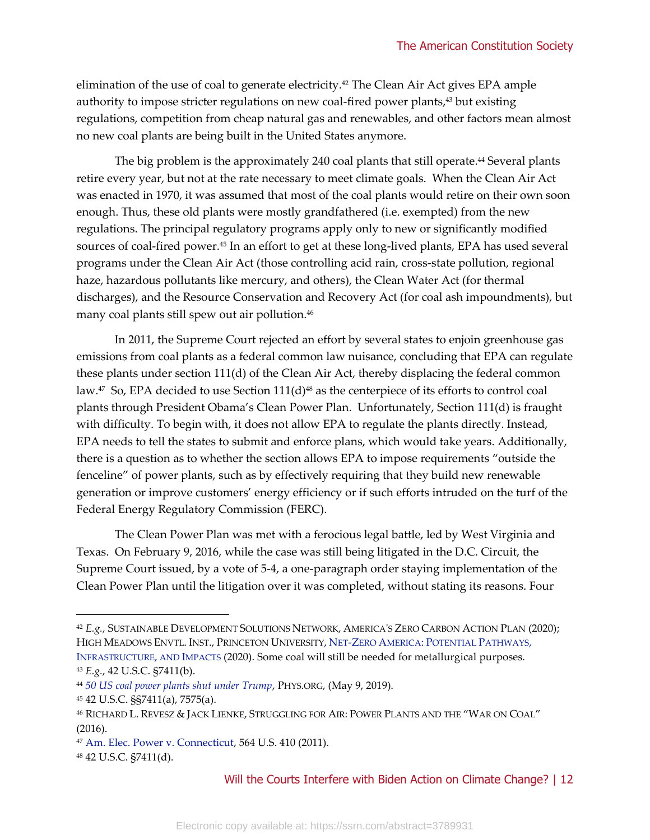elimination of the use of coal to generate electricity.<sup>42</sup> The Clean Air Act gives EPA ample authority to impose stricter regulations on new coal-fired power plants,<sup>43</sup> but existing regulations, competition from cheap natural gas and renewables, and other factors mean almost no new coal plants are being built in the United States anymore.

The big problem is the approximately 240 coal plants that still operate.<sup>44</sup> Several plants retire every year, but not at the rate necessary to meet climate goals. When the Clean Air Act was enacted in 1970, it was assumed that most of the coal plants would retire on their own soon enough. Thus, these old plants were mostly grandfathered (i.e. exempted) from the new regulations. The principal regulatory programs apply only to new or significantly modified sources of coal-fired power. <sup>45</sup> In an effort to get at these long-lived plants, EPA has used several programs under the Clean Air Act (those controlling acid rain, cross-state pollution, regional haze, hazardous pollutants like mercury, and others), the Clean Water Act (for thermal discharges), and the Resource Conservation and Recovery Act (for coal ash impoundments), but many coal plants still spew out air pollution.<sup>46</sup>

In 2011, the Supreme Court rejected an effort by several states to enjoin greenhouse gas emissions from coal plants as a federal common law nuisance, concluding that EPA can regulate these plants under section 111(d) of the Clean Air Act, thereby displacing the federal common law.<sup>47</sup> So, EPA decided to use Section 111(d)<sup>48</sup> as the centerpiece of its efforts to control coal plants through President Obama's Clean Power Plan. Unfortunately, Section 111(d) is fraught with difficulty. To begin with, it does not allow EPA to regulate the plants directly. Instead, EPA needs to tell the states to submit and enforce plans, which would take years. Additionally, there is a question as to whether the section allows EPA to impose requirements "outside the fenceline" of power plants, such as by effectively requiring that they build new renewable generation or improve customers' energy efficiency or if such efforts intruded on the turf of the Federal Energy Regulatory Commission (FERC).

The Clean Power Plan was met with a ferocious legal battle, led by West Virginia and Texas. On February 9, 2016, while the case was still being litigated in the D.C. Circuit, the Supreme Court issued, by a vote of 5-4, a one-paragraph order staying implementation of the Clean Power Plan until the litigation over it was completed, without stating its reasons. Four

<sup>42</sup> *E.g.*, SUSTAINABLE DEVELOPMENT SOLUTIONS NETWORK, A[MERICA](https://irp-cdn.multiscreensite.com/6f2c9f57/files/uploaded/zero-carbon-action-plan%20%281%29.pdf)'S ZERO CARBON ACTION PLAN (2020); HIGH MEADOWS ENVTL. INST., PRINCETON UNIVERSITY, NET-ZERO AMERICA: P[OTENTIAL](https://environmenthalfcentury.princeton.edu/sites/g/files/toruqf331/files/2020-12/Princeton_NZA_Interim_Report_15_Dec_2020_FINAL.pdf) PATHWAYS, I[NFRASTRUCTURE](https://environmenthalfcentury.princeton.edu/sites/g/files/toruqf331/files/2020-12/Princeton_NZA_Interim_Report_15_Dec_2020_FINAL.pdf), AND IMPACTS (2020). Some coal will still be needed for metallurgical purposes. <sup>43</sup> *E.g.*, 42 U.S.C. §7411(b).

<sup>44</sup> *[50 US coal power plants shut under Trump](https://phys.org/news/2019-05-coal-power-trump.html)*, PHYS.ORG, (May 9, 2019).

<sup>45</sup> 42 U.S.C. §§7411(a), 7575(a).

<sup>46</sup> RICHARD L. REVESZ & JACK LIENKE, STRUGGLING FOR AIR: POWER PLANTS AND THE "WAR ON COAL" (2016).

<sup>47</sup> [Am. Elec. Power v. Connecticut,](https://supreme.justia.com/cases/federal/us/564/410/) 564 U.S. 410 (2011).

<sup>48</sup> 42 U.S.C. §7411(d).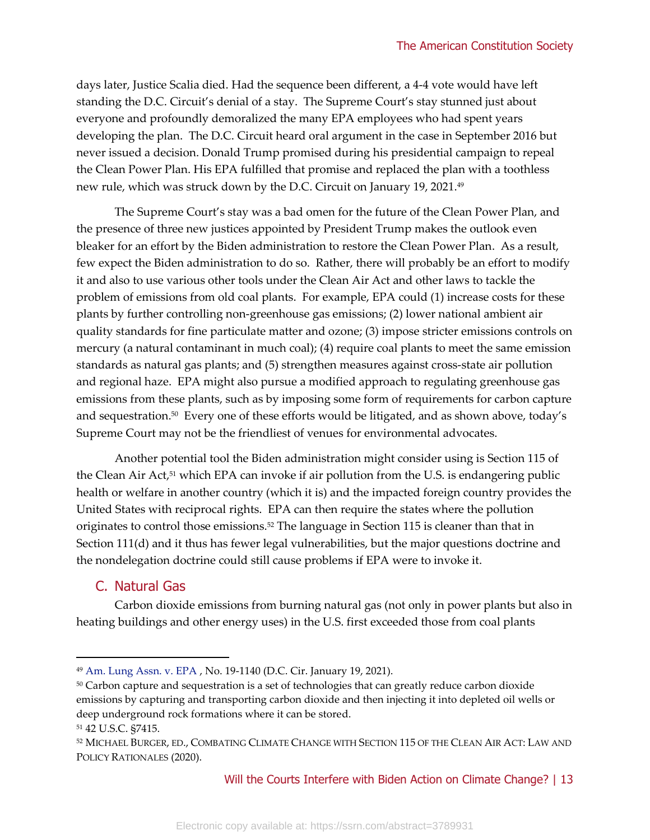days later, Justice Scalia died. Had the sequence been different, a 4-4 vote would have left standing the D.C. Circuit's denial of a stay. The Supreme Court's stay stunned just about everyone and profoundly demoralized the many EPA employees who had spent years developing the plan. The D.C. Circuit heard oral argument in the case in September 2016 but never issued a decision. Donald Trump promised during his presidential campaign to repeal the Clean Power Plan. His EPA fulfilled that promise and replaced the plan with a toothless new rule, which was struck down by the D.C. Circuit on January 19, 2021.<sup>49</sup>

The Supreme Court's stay was a bad omen for the future of the Clean Power Plan, and the presence of three new justices appointed by President Trump makes the outlook even bleaker for an effort by the Biden administration to restore the Clean Power Plan. As a result, few expect the Biden administration to do so. Rather, there will probably be an effort to modify it and also to use various other tools under the Clean Air Act and other laws to tackle the problem of emissions from old coal plants. For example, EPA could (1) increase costs for these plants by further controlling non-greenhouse gas emissions; (2) lower national ambient air quality standards for fine particulate matter and ozone; (3) impose stricter emissions controls on mercury (a natural contaminant in much coal); (4) require coal plants to meet the same emission standards as natural gas plants; and (5) strengthen measures against cross-state air pollution and regional haze. EPA might also pursue a modified approach to regulating greenhouse gas emissions from these plants, such as by imposing some form of requirements for carbon capture and sequestration.<sup>50</sup> Every one of these efforts would be litigated, and as shown above, today's Supreme Court may not be the friendliest of venues for environmental advocates.

Another potential tool the Biden administration might consider using is Section 115 of the Clean Air Act, <sup>51</sup> which EPA can invoke if air pollution from the U.S. is endangering public health or welfare in another country (which it is) and the impacted foreign country provides the United States with reciprocal rights. EPA can then require the states where the pollution originates to control those emissions.<sup>52</sup> The language in Section 115 is cleaner than that in Section 111(d) and it thus has fewer legal vulnerabilities, but the major questions doctrine and the nondelegation doctrine could still cause problems if EPA were to invoke it.

# C. Natural Gas

Carbon dioxide emissions from burning natural gas (not only in power plants but also in heating buildings and other energy uses) in the U.S. first exceeded those from coal plants

<sup>49</sup> [Am. Lung Assn. v. EPA](https://law.justia.com/cases/federal/appellate-courts/cadc/19-1140/19-1140-2021-01-19.html) , No. 19-1140 (D.C. Cir. January 19, 2021).

<sup>&</sup>lt;sup>50</sup> Carbon capture and sequestration is a set of technologies that can greatly reduce carbon dioxide emissions by capturing and transporting carbon dioxide and then injecting it into depleted oil wells or deep underground rock formations where it can be stored.

<sup>51</sup> 42 U.S.C. §7415.

<sup>52</sup> MICHAEL BURGER, ED., COMBATING CLIMATE CHANGE WITH SECTION 115 OF THE CLEAN AIR ACT: LAW AND POLICY RATIONALES (2020).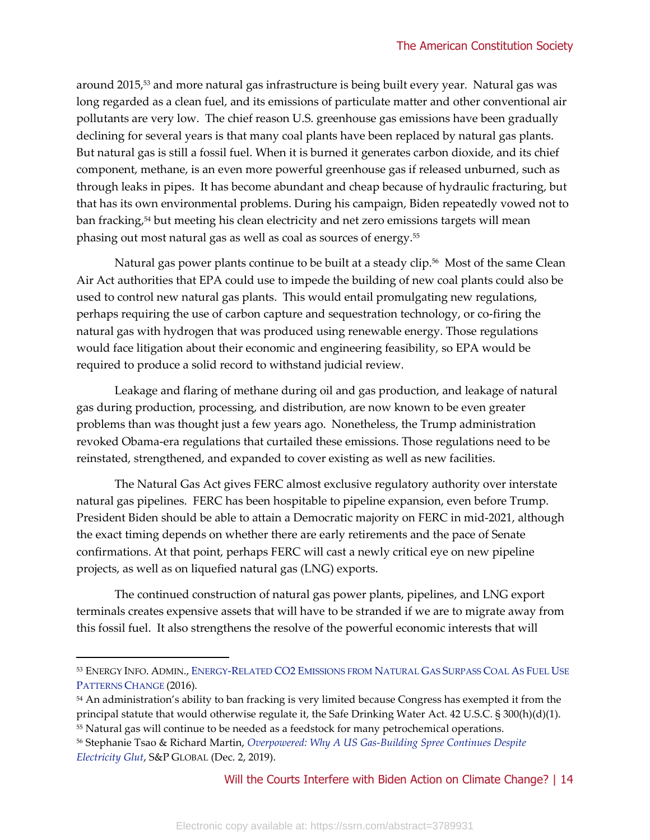around 2015,<sup>53</sup> and more natural gas infrastructure is being built every year. Natural gas was long regarded as a clean fuel, and its emissions of particulate matter and other conventional air pollutants are very low. The chief reason U.S. greenhouse gas emissions have been gradually declining for several years is that many coal plants have been replaced by natural gas plants. But natural gas is still a fossil fuel. When it is burned it generates carbon dioxide, and its chief component, methane, is an even more powerful greenhouse gas if released unburned, such as through leaks in pipes. It has become abundant and cheap because of hydraulic fracturing, but that has its own environmental problems. During his campaign, Biden repeatedly vowed not to ban fracking, <sup>54</sup> but meeting his clean electricity and net zero emissions targets will mean phasing out most natural gas as well as coal as sources of energy.<sup>55</sup>

Natural gas power plants continue to be built at a steady clip.<sup>56</sup> Most of the same Clean Air Act authorities that EPA could use to impede the building of new coal plants could also be used to control new natural gas plants. This would entail promulgating new regulations, perhaps requiring the use of carbon capture and sequestration technology, or co-firing the natural gas with hydrogen that was produced using renewable energy. Those regulations would face litigation about their economic and engineering feasibility, so EPA would be required to produce a solid record to withstand judicial review.

Leakage and flaring of methane during oil and gas production, and leakage of natural gas during production, processing, and distribution, are now known to be even greater problems than was thought just a few years ago. Nonetheless, the Trump administration revoked Obama-era regulations that curtailed these emissions. Those regulations need to be reinstated, strengthened, and expanded to cover existing as well as new facilities.

The Natural Gas Act gives FERC almost exclusive regulatory authority over interstate natural gas pipelines. FERC has been hospitable to pipeline expansion, even before Trump. President Biden should be able to attain a Democratic majority on FERC in mid-2021, although the exact timing depends on whether there are early retirements and the pace of Senate confirmations. At that point, perhaps FERC will cast a newly critical eye on new pipeline projects, as well as on liquefied natural gas (LNG) exports.

The continued construction of natural gas power plants, pipelines, and LNG export terminals creates expensive assets that will have to be stranded if we are to migrate away from this fossil fuel. It also strengthens the resolve of the powerful economic interests that will

<sup>53</sup> ENERGY INFO. ADMIN., ENERGY-RELATED CO2 E[MISSIONS FROM](https://www.eia.gov/todayinenergy/detail.php?id=27552) NATURAL GAS SURPASS COAL AS FUEL USE P[ATTERNS](https://www.eia.gov/todayinenergy/detail.php?id=27552) CHANGE (2016).

<sup>54</sup> An administration's ability to ban fracking is very limited because Congress has exempted it from the principal statute that would otherwise regulate it, the Safe Drinking Water Act. 42 U.S.C. § 300(h)(d)(1).

<sup>55</sup> Natural gas will continue to be needed as a feedstock for many petrochemical operations.

<sup>56</sup> Stephanie Tsao & Richard Martin, *[Overpowered: Why A US Gas-Building Spree Continues Despite](https://www.spglobal.com/marketintelligence/en/news-insights/latest-news-headlines/overpowered-why-a-us-gas-building-spree-continues-despite-electricity-glut-54188928)  [Electricity Glut](https://www.spglobal.com/marketintelligence/en/news-insights/latest-news-headlines/overpowered-why-a-us-gas-building-spree-continues-despite-electricity-glut-54188928)*, S&P GLOBAL (Dec. 2, 2019).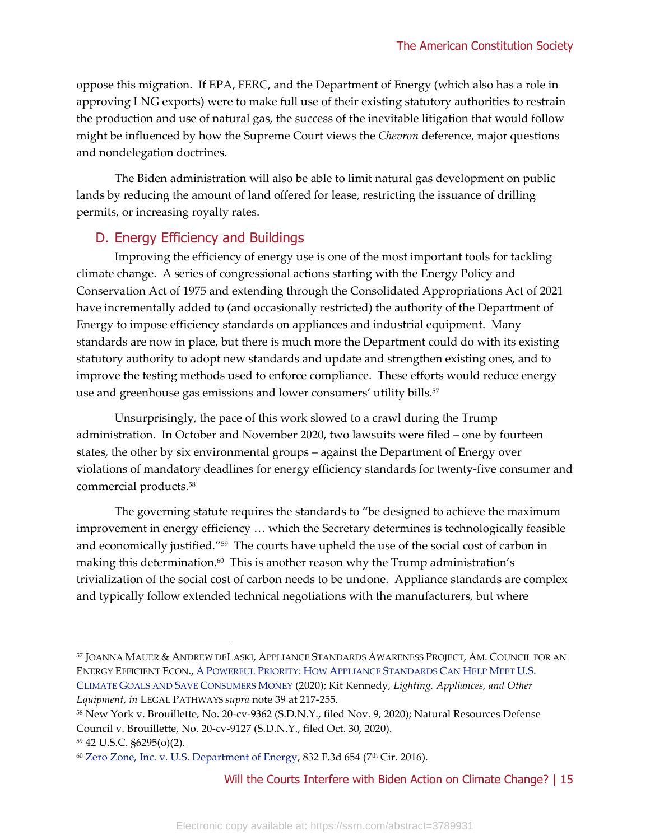oppose this migration. If EPA, FERC, and the Department of Energy (which also has a role in approving LNG exports) were to make full use of their existing statutory authorities to restrain the production and use of natural gas, the success of the inevitable litigation that would follow might be influenced by how the Supreme Court views the *Chevron* deference, major questions and nondelegation doctrines.

The Biden administration will also be able to limit natural gas development on public lands by reducing the amount of land offered for lease, restricting the issuance of drilling permits, or increasing royalty rates.

### D. Energy Efficiency and Buildings

Improving the efficiency of energy use is one of the most important tools for tackling climate change. A series of congressional actions starting with the Energy Policy and Conservation Act of 1975 and extending through the Consolidated Appropriations Act of 2021 have incrementally added to (and occasionally restricted) the authority of the Department of Energy to impose efficiency standards on appliances and industrial equipment. Many standards are now in place, but there is much more the Department could do with its existing statutory authority to adopt new standards and update and strengthen existing ones, and to improve the testing methods used to enforce compliance. These efforts would reduce energy use and greenhouse gas emissions and lower consumers' utility bills.<sup>57</sup>

Unsurprisingly, the pace of this work slowed to a crawl during the Trump administration. In October and November 2020, two lawsuits were filed – one by fourteen states, the other by six environmental groups – against the Department of Energy over violations of mandatory deadlines for energy efficiency standards for twenty-five consumer and commercial products.<sup>58</sup>

The governing statute requires the standards to "be designed to achieve the maximum improvement in energy efficiency … which the Secretary determines is technologically feasible and economically justified."<sup>59</sup> The courts have upheld the use of the social cost of carbon in making this determination. $\rm ^{60}$  This is another reason why the Trump administration's trivialization of the social cost of carbon needs to be undone. Appliance standards are complex and typically follow extended technical negotiations with the manufacturers, but where

<sup>59</sup> 42 U.S.C. §6295(o)(2).

<sup>57</sup> JOANNA MAUER & ANDREW DELASKI, APPLIANCE STANDARDS AWARENESS PROJECT, AM. COUNCIL FOR AN ENERGY EFFICIENT ECON., A POWERFUL PRIORITY: HOW APPLIANCE S[TANDARDS](https://www.aceee.org/sites/default/files/pdfs/a2001.pdf) CAN HELP MEET U.S. CLIMATE GOALS AND SAVE C[ONSUMERS](https://www.aceee.org/sites/default/files/pdfs/a2001.pdf) MONEY (2020); Kit Kennedy, *Lighting, Appliances, and Other Equipment*, *in* LEGAL PATHWAYS *supra* note 39 at 217-255.

<sup>58</sup> New York v. Brouillette, No. 20-cv-9362 (S.D.N.Y., filed Nov. 9, 2020); Natural Resources Defense Council v. Brouillette, No. 20-cv-9127 (S.D.N.Y., filed Oct. 30, 2020).

<sup>60</sup> [Zero Zone, Inc. v. U.S. Department of Energy,](https://casetext.com/case/zero-zone-inc-v-us-dept-of-energy-1) 832 F.3d 654 (7th Cir. 2016).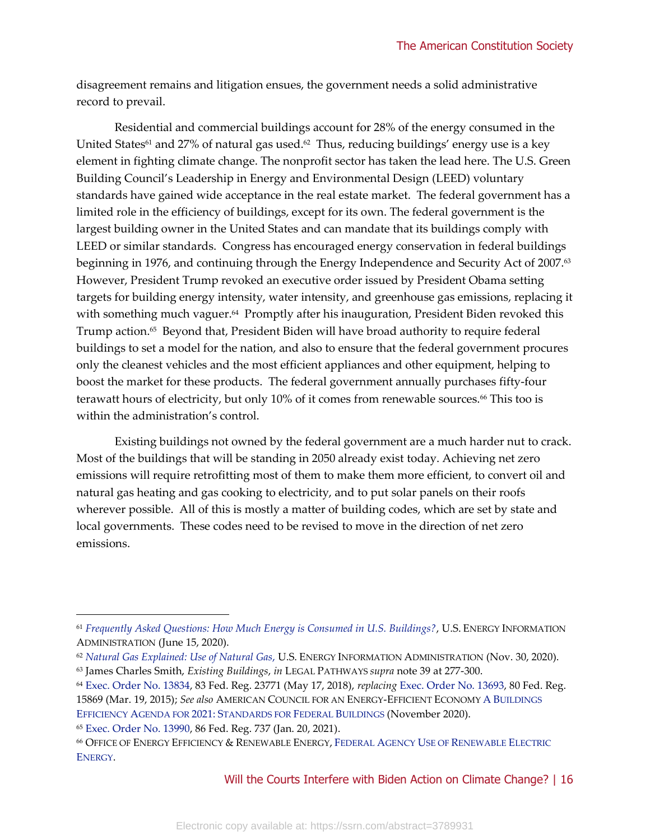disagreement remains and litigation ensues, the government needs a solid administrative record to prevail.

Residential and commercial buildings account for 28% of the energy consumed in the United States $^{\rm 61}$  and 27% of natural gas used. $^{\rm 62}$  Thus, reducing buildings' energy use is a key element in fighting climate change. The nonprofit sector has taken the lead here. The U.S. Green Building Council's Leadership in Energy and Environmental Design (LEED) voluntary standards have gained wide acceptance in the real estate market. The federal government has a limited role in the efficiency of buildings, except for its own. The federal government is the largest building owner in the United States and can mandate that its buildings comply with LEED or similar standards. Congress has encouraged energy conservation in federal buildings beginning in 1976, and continuing through the Energy Independence and Security Act of 2007.<sup>63</sup> However, President Trump revoked an executive order issued by President Obama setting targets for building energy intensity, water intensity, and greenhouse gas emissions, replacing it with something much vaguer.<sup>64</sup> Promptly after his inauguration, President Biden revoked this Trump action. 65 Beyond that, President Biden will have broad authority to require federal buildings to set a model for the nation, and also to ensure that the federal government procures only the cleanest vehicles and the most efficient appliances and other equipment, helping to boost the market for these products. The federal government annually purchases fifty-four terawatt hours of electricity, but only 10% of it comes from renewable sources.<sup>66</sup> This too is within the administration's control.

Existing buildings not owned by the federal government are a much harder nut to crack. Most of the buildings that will be standing in 2050 already exist today. Achieving net zero emissions will require retrofitting most of them to make them more efficient, to convert oil and natural gas heating and gas cooking to electricity, and to put solar panels on their roofs wherever possible. All of this is mostly a matter of building codes, which are set by state and local governments. These codes need to be revised to move in the direction of net zero emissions.

<sup>61</sup> *[Frequently Asked Questions: How Much Energy is Consumed in U.S. Buildings?](https://www.eia.gov/tools/faqs/faq.php?id=86&t=1)*, U.S. ENERGY INFORMATION ADMINISTRATION (June 15, 2020).

<sup>62</sup> *[Natural Gas Explained: Use of Natural Gas](https://www.eia.gov/energyexplained/natural-gas/use-of-natural-gas.php)*, U.S. ENERGY INFORMATION ADMINISTRATION (Nov. 30, 2020).

<sup>63</sup> James Charles Smith, *Existing Buildings*, *in* LEGAL PATHWAYS *supra* note 39 at 277-300.

<sup>64</sup> [Exec. Order No. 13834,](https://www.federalregister.gov/documents/2018/05/22/2018-11101/efficient-federal-operations) 83 Fed. Reg. 23771 (May 17, 2018), *replacing* [Exec. Order No. 13693,](https://www.federalregister.gov/documents/2015/03/25/2015-07016/planning-for-federal-sustainability-in-the-next-decade) 80 Fed. Reg. 15869 (Mar. 19, 2015); *See also* AMERICAN COUNCIL FOR AN ENERGY-EFFICIENT ECONOMY A B[UILDINGS](https://www.aceee.org/sites/default/files/pdfs/standards_for_federal_buildings.pdf)  EFFICIENCY AGENDA FOR 2021: S[TANDARDS FOR](https://www.aceee.org/sites/default/files/pdfs/standards_for_federal_buildings.pdf) FEDERAL BUILDINGS (November 2020).

<sup>65</sup> [Exec. Order No. 13990,](https://www.whitehouse.gov/briefing-room/presidential-actions/2021/01/20/executive-order-protecting-public-health-and-environment-and-restoring-science-to-tackle-climate-crisis/) 86 Fed. Reg. 737 (Jan. 20, 2021).

<sup>66</sup> OFFICE OF ENERGY EFFICIENCY & RENEWABLE ENERGY, FEDERAL AGENCY USE OF R[ENEWABLE](https://www.energy.gov/eere/femp/federal-agency-use-renewable-electric-energy) ELECTRIC E[NERGY](https://www.energy.gov/eere/femp/federal-agency-use-renewable-electric-energy).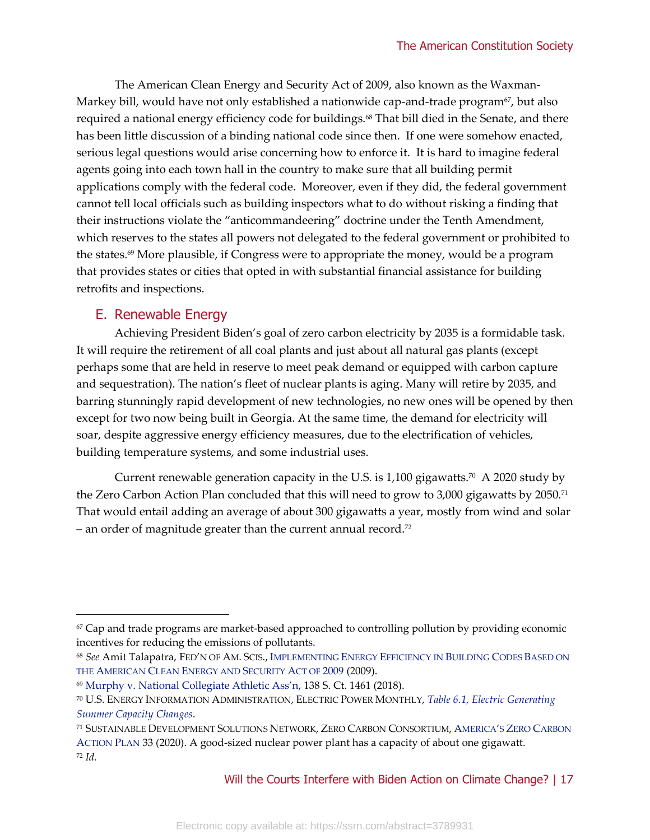The American Clean Energy and Security Act of 2009, also known as the Waxman-Markey bill, would have not only established a nationwide cap-and-trade program<sup>67</sup>, but also required a national energy efficiency code for buildings.<sup>68</sup> That bill died in the Senate, and there has been little discussion of a binding national code since then. If one were somehow enacted, serious legal questions would arise concerning how to enforce it. It is hard to imagine federal agents going into each town hall in the country to make sure that all building permit applications comply with the federal code. Moreover, even if they did, the federal government cannot tell local officials such as building inspectors what to do without risking a finding that their instructions violate the "anticommandeering" doctrine under the Tenth Amendment, which reserves to the states all powers not delegated to the federal government or prohibited to the states.<sup>69</sup> More plausible, if Congress were to appropriate the money, would be a program that provides states or cities that opted in with substantial financial assistance for building retrofits and inspections.

# E. Renewable Energy

Achieving President Biden's goal of zero carbon electricity by 2035 is a formidable task. It will require the retirement of all coal plants and just about all natural gas plants (except perhaps some that are held in reserve to meet peak demand or equipped with carbon capture and sequestration). The nation's fleet of nuclear plants is aging. Many will retire by 2035, and barring stunningly rapid development of new technologies, no new ones will be opened by then except for two now being built in Georgia. At the same time, the demand for electricity will soar, despite aggressive energy efficiency measures, due to the electrification of vehicles, building temperature systems, and some industrial uses.

Current renewable generation capacity in the U.S. is 1,100 gigawatts.<sup>70</sup> A 2020 study by the Zero Carbon Action Plan concluded that this will need to grow to 3,000 gigawatts by 2050.<sup>71</sup> That would entail adding an average of about 300 gigawatts a year, mostly from wind and solar  $-$  an order of magnitude greater than the current annual record.<sup>72</sup>

 $67$  Cap and trade programs are market-based approached to controlling pollution by providing economic incentives for reducing the emissions of pollutants.

<sup>68</sup> *See* Amit Talapatra, FED'N OF AM. SCIS., I[MPLEMENTING](https://fas.org/programs/energy/btech/about/Energy%20Efficient%20Building%20Codes%20in%20Waxman-Markey.pdf) ENERGY EFFICIENCY IN BUILDING CODES BASED ON THE AMERICAN CLEAN E[NERGY AND](https://fas.org/programs/energy/btech/about/Energy%20Efficient%20Building%20Codes%20in%20Waxman-Markey.pdf) SECURITY ACT OF 2009 (2009).

<sup>69</sup> [Murphy v. National Collegiate Athletic Ass'n](https://casetext.com/case/murphy-v-natl-collegiate-athletic-assn-1), 138 S. Ct. 1461 (2018).

<sup>70</sup> U.S. ENERGY INFORMATION ADMINISTRATION, ELECTRIC POWER MONTHLY, *[Table 6.1, Electric Generating](https://www.eia.gov/electricity/monthly/epm_table_grapher.php?t=table_6_01)  [Summer Capacity Changes](https://www.eia.gov/electricity/monthly/epm_table_grapher.php?t=table_6_01)*.

<sup>71</sup> SUSTAINABLE DEVELOPMENT SOLUTIONS NETWORK, ZERO CARBON CONSORTIUM, A[MERICA](https://www.unsdsn.org/Zero-Carbon-Action-Plan)'S ZERO CARBON A[CTION](https://www.unsdsn.org/Zero-Carbon-Action-Plan) PLAN 33 (2020). A good-sized nuclear power plant has a capacity of about one gigawatt. <sup>72</sup> *Id.*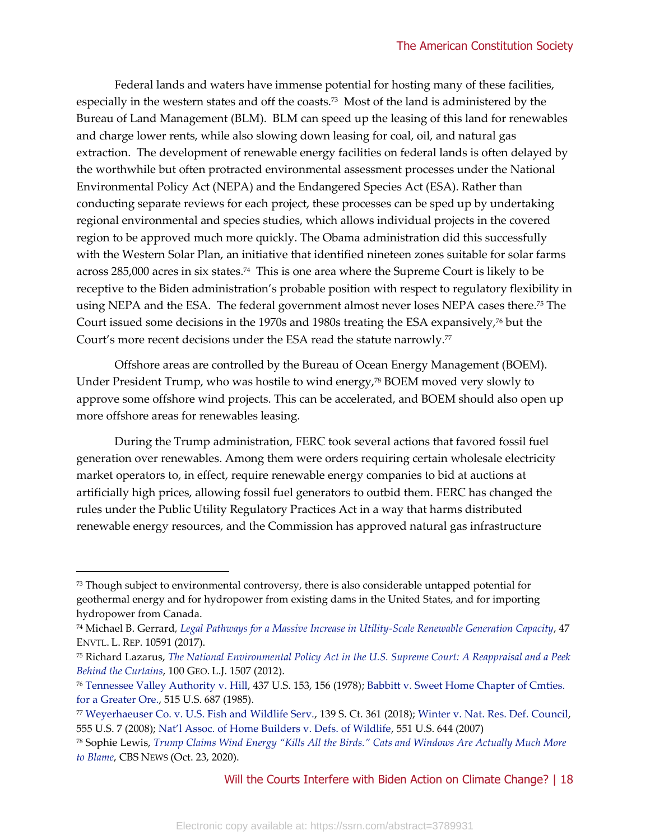Federal lands and waters have immense potential for hosting many of these facilities, especially in the western states and off the coasts.<sup>73</sup> Most of the land is administered by the Bureau of Land Management (BLM). BLM can speed up the leasing of this land for renewables and charge lower rents, while also slowing down leasing for coal, oil, and natural gas extraction. The development of renewable energy facilities on federal lands is often delayed by the worthwhile but often protracted environmental assessment processes under the National Environmental Policy Act (NEPA) and the Endangered Species Act (ESA). Rather than conducting separate reviews for each project, these processes can be sped up by undertaking regional environmental and species studies, which allows individual projects in the covered region to be approved much more quickly. The Obama administration did this successfully with the Western Solar Plan, an initiative that identified nineteen zones suitable for solar farms across 285,000 acres in six states.<sup>74</sup> This is one area where the Supreme Court is likely to be receptive to the Biden administration's probable position with respect to regulatory flexibility in using NEPA and the ESA. The federal government almost never loses NEPA cases there.<sup>75</sup> The Court issued some decisions in the 1970s and 1980s treating the ESA expansively,<sup>76</sup> but the Court's more recent decisions under the ESA read the statute narrowly.<sup>77</sup>

Offshore areas are controlled by the Bureau of Ocean Energy Management (BOEM). Under President Trump, who was hostile to wind energy,<sup>78</sup> BOEM moved very slowly to approve some offshore wind projects. This can be accelerated, and BOEM should also open up more offshore areas for renewables leasing.

During the Trump administration, FERC took several actions that favored fossil fuel generation over renewables. Among them were orders requiring certain wholesale electricity market operators to, in effect, require renewable energy companies to bid at auctions at artificially high prices, allowing fossil fuel generators to outbid them. FERC has changed the rules under the Public Utility Regulatory Practices Act in a way that harms distributed renewable energy resources, and the Commission has approved natural gas infrastructure

 $73$  Though subject to environmental controversy, there is also considerable untapped potential for geothermal energy and for hydropower from existing dams in the United States, and for importing hydropower from Canada.

<sup>74</sup> Michael B. Gerrard*, [Legal Pathways for a Massive Increase in Utility-Scale Renewable Generation Capacity](https://climate.law.columbia.edu/sites/default/files/content/pics/homePage/Legal-Pathways-for-a-Massive-Increase-in-Utility-Scale-Renewable-Generation-Capacity.pdf)*, 47 ENVTL. L. REP. 10591 (2017).

<sup>75</sup> Richard Lazarus, *[The National Environmental Policy Act in the U.S. Supreme Court: A Reappraisal and a Peek](http://edwardwimberley.com/courses/EnviroPol/lazarus.pdf)  [Behind the Curtains](http://edwardwimberley.com/courses/EnviroPol/lazarus.pdf)*, 100 GEO. L.J. 1507 (2012).

<sup>76</sup> [Tennessee Valley Authority v. Hill,](https://supreme.justia.com/cases/federal/us/437/153/) 437 U.S. 153, 156 (1978)[; Babbitt v. Sweet Home Chapter of Cmties.](https://supreme.justia.com/cases/federal/us/515/687/)  [for a Greater Ore.,](https://supreme.justia.com/cases/federal/us/515/687/) 515 U.S. 687 (1985).

<sup>77</sup> [Weyerhaeuser Co. v. U.S. Fish and Wildlife Serv.,](https://www.leagle.com/decision/insco20181127e65) 139 S. Ct. 361 (2018)[; Winter v. Nat. Res. Def. Council,](https://supreme.justia.com/cases/federal/us/555/7/)  555 U.S. 7 (2008); [Nat'l Assoc. of Home Builders v. Defs. of Wildlife](https://supreme.justia.com/cases/federal/us/551/644/), 551 U.S. 644 (2007)

<sup>78</sup> Sophie Lewis, *[Trump Claims Wind Energy "Kills All the Birds." Cats and Windows Are Actually Much More](https://www.cbsnews.com/news/donald-trump-wind-energy-kills-birds-presidential-debate-joe-biden/)  [to Blame](https://www.cbsnews.com/news/donald-trump-wind-energy-kills-birds-presidential-debate-joe-biden/)*, CBS NEWS (Oct. 23, 2020).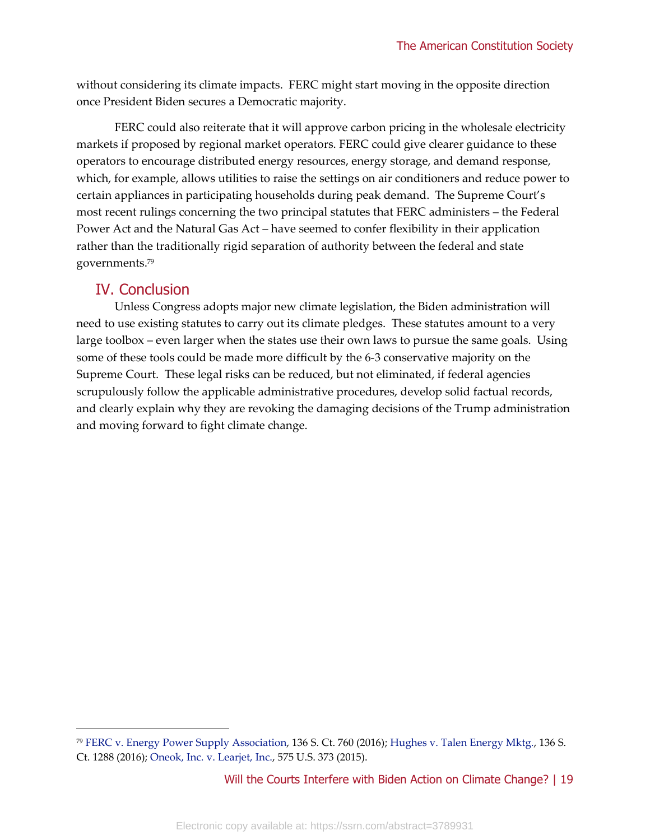without considering its climate impacts. FERC might start moving in the opposite direction once President Biden secures a Democratic majority.

FERC could also reiterate that it will approve carbon pricing in the wholesale electricity markets if proposed by regional market operators. FERC could give clearer guidance to these operators to encourage distributed energy resources, energy storage, and demand response, which, for example, allows utilities to raise the settings on air conditioners and reduce power to certain appliances in participating households during peak demand. The Supreme Court's most recent rulings concerning the two principal statutes that FERC administers – the Federal Power Act and the Natural Gas Act – have seemed to confer flexibility in their application rather than the traditionally rigid separation of authority between the federal and state governments.<sup>79</sup>

# IV. Conclusion

Unless Congress adopts major new climate legislation, the Biden administration will need to use existing statutes to carry out its climate pledges. These statutes amount to a very large toolbox – even larger when the states use their own laws to pursue the same goals. Using some of these tools could be made more difficult by the 6-3 conservative majority on the Supreme Court. These legal risks can be reduced, but not eliminated, if federal agencies scrupulously follow the applicable administrative procedures, develop solid factual records, and clearly explain why they are revoking the damaging decisions of the Trump administration and moving forward to fight climate change.

<sup>79</sup> [FERC v. Energy Power](https://casetext.com/case/fed-energy-regulatory-commn-v-elec-power-supply-assn) Supply Association, 136 S. Ct. 760 (2016); [Hughes v. Talen Energy Mktg.,](https://www.leagle.com/decision/insco20160419f18) 136 S. Ct. 1288 (2016); [Oneok, Inc. v. Learjet, Inc.,](https://supreme.justia.com/cases/federal/us/575/13-271/) 575 U.S. 373 (2015).